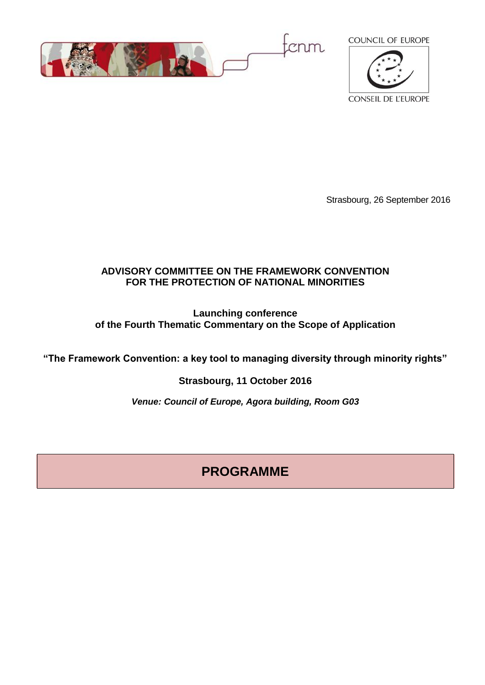



Strasbourg, 26 September 2016

## **ADVISORY COMMITTEE ON THE FRAMEWORK CONVENTION FOR THE PROTECTION OF NATIONAL MINORITIES**

### **Launching conference of the Fourth Thematic Commentary on the Scope of Application**

**"The Framework Convention: a key tool to managing diversity through minority rights"**

**Strasbourg, 11 October 2016**

*Venue: Council of Europe, Agora building, Room G03*

# **PROGRAMME**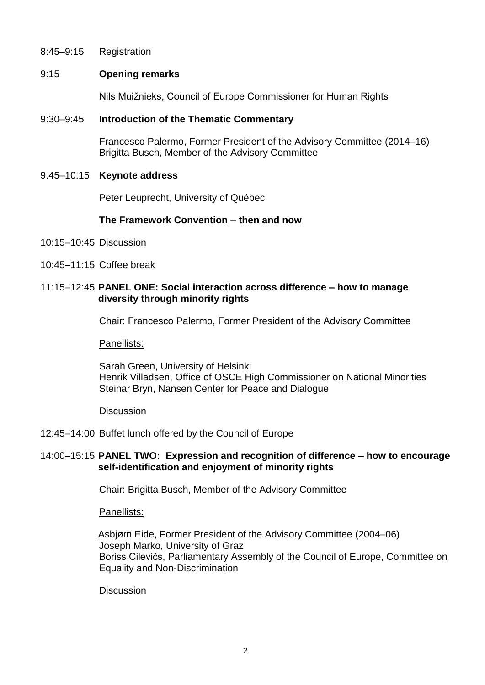8:45–9:15 Registration

#### 9:15 **Opening remarks**

Nils Muižnieks, Council of Europe Commissioner for Human Rights

#### 9:30–9:45 **Introduction of the Thematic Commentary**

Francesco Palermo, Former President of the Advisory Committee (2014–16) Brigitta Busch, Member of the Advisory Committee

#### 9.45–10:15 **Keynote address**

Peter Leuprecht, University of Québec

#### **The Framework Convention – then and now**

- 10:15–10:45 Discussion
- 10:45–11:15 Coffee break

#### 11:15–12:45 **PANEL ONE: Social interaction across difference – how to manage diversity through minority rights**

Chair: Francesco Palermo, Former President of the Advisory Committee

Panellists:

Sarah Green, University of Helsinki Henrik Villadsen, Office of OSCE High Commissioner on National Minorities Steinar Bryn, Nansen Center for Peace and Dialogue

**Discussion** 

#### 12:45–14:00 Buffet lunch offered by the Council of Europe

#### 14:00–15:15 **PANEL TWO: Expression and recognition of difference – how to encourage self-identification and enjoyment of minority rights**

Chair: Brigitta Busch, Member of the Advisory Committee

Panellists:

Asbjørn Eide, Former President of the Advisory Committee (2004–06) Joseph Marko, University of Graz Boriss Cilevičs, Parliamentary Assembly of the Council of Europe, Committee on Equality and Non-Discrimination

**Discussion**